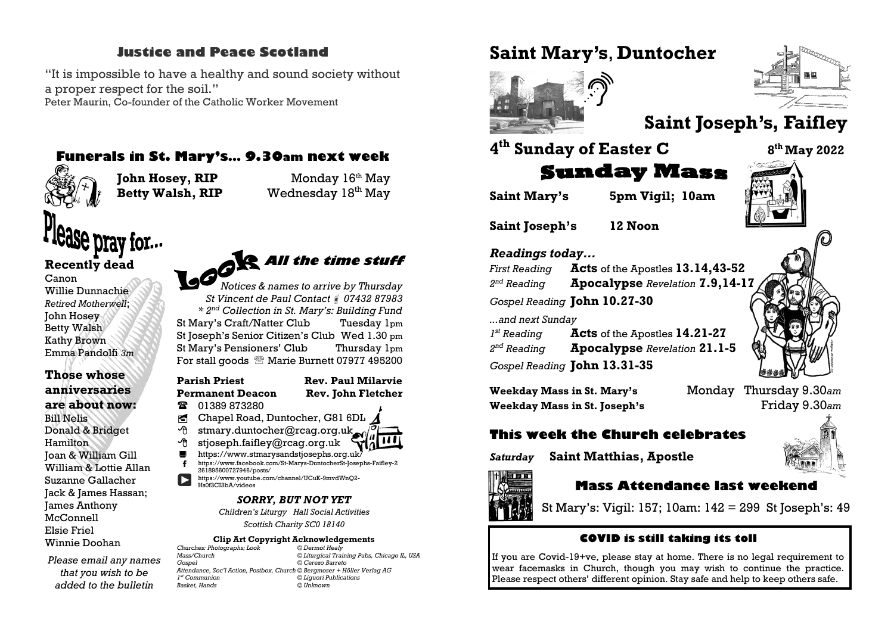#### **Justice and Peace Scotland**

"It is impossible to have a healthy and sound society without a proper respect for the soil." Peter Maurin, Co-founder of the Catholic Worker Movement

#### **Funerals in St. Mary's… 9.30am next week**



**John Hosey, RIP** Monday 16<sup>th</sup> May

**Betty Walsh, RIP** Wednesday  $18<sup>th</sup>$  May

# Se prav for...

#### **Recently dead** Canon Willie Dunnachie *Retired Motherwell*; John Hosey Betty Walsh Kathy Brown Emma Pandolfi *3m*

#### **Those whose anniversaries are about now:** Bill Nelis Donald & Bridget Hamilton Joan & William Gill William & Lottie Allan Suzanne Gallacher Jack & James Hassan; James Anthony McConnell Elsie Friel Winnie Doohan

*Please email any names that you wish to be added to the bulletin* 

# **All the time stuff** *Notices & names to arrive by Thursday*

*St Vincent de Paul Contact 07432 87983 \* 2nd Collection in St. Mary's: Building Fund* St Mary's Craft/Natter Club Tuesday 1pm St Joseph's Senior Citizen's Club Wed 1.30 pm St Mary's Pensioners' Club Thursday 1pm For stall goods <sup>®</sup> Marie Burnett 07977 495200

#### **Parish Priest Rev. Paul Milarvie Permanent Deacon Rev. John Fletcher**

**■ 01389 873280** 

- © Chapel Road, Duntocher, G81 6DL
- $\Theta$  stmary.duntocher@rcag.org.uk
- $\Theta$  stjoseph.faifley@rcag.org.uk
- https://www.stmarysandstjosephs.org.uk [https://www.facebook.com/St-Marys-DuntocherSt-Josephs-Faifley-2](https://www.facebook.com/St-Marys-DuntocherSt-Josephs-Faifley-2261895600727946/posts/)
- [261895600727946/posts/](https://www.facebook.com/St-Marys-DuntocherSt-Josephs-Faifley-2261895600727946/posts/) [https://www.youtube.com/channel/UCuK-9mvdWnQ2-](https://www.youtube.com/channel/UCuK-9mvdWnQ2-Hs0f3CI3bA/videos) [Hs0f3CI3bA/videos](https://www.youtube.com/channel/UCuK-9mvdWnQ2-Hs0f3CI3bA/videos)

#### *SORRY, BUT NOT YET*

*Children's Liturgy Hall Social Activities*

*Scottish Charity SC0 18140*

### **Clip Art Copyright Acknowledgements**<br>hotographs: Look © Dermot Healy

*Churches: Photographs; Look © Dermot Healy Mass/Church © Liturgical Training Pubs, Chicago IL, USA Gospel © Cerezo Barreto Attendance, Soc'l Action, Postbox, Church © Bergmoser + Höller Verlag AG*  $I<sup>st</sup>$  Communion *st Communion © Liguori Publications Basket, Hands © Unknown*

## **Saint Mary's**, **Duntocher**



# **Saint Joseph's, Faifley**

## **4 th Sunday of Easter C <sup>8</sup>**



**Saint Mary's 5pm Vigil; 10am**

**Saint Joseph's 12 Noon**

#### *Readings today...*

*First Reading* **Acts** of the Apostles **13.14,43-52**  $2<sup>nd</sup>$  Reading *nd Reading* **Apocalypse** *Revelation* **7.9,14-17** *Gospel Reading* **John 10.27-30**

**Sunday Mass** 

*...and next Sunday*

*1<sup>st</sup> Reading st Reading* **Acts** of the Apostles **14.21-27**  $2<sup>nd</sup>$  Reading *nd Reading* **Apocalypse** *Revelation* **21.1-5** *Gospel Reading* **John 13.31-35**

**Weekday Mass in St. Mary's** Monday Thursday 9.30*am* **Weekday Mass in St. Joseph's** Friday 9.30*am*

## **This week the Church celebrates**

*Saturday* **Saint Matthias, Apostle**



#### **Mass Attendance last weekend**

St Mary's: Vigil: 157; 10am: 142 = 299 St Joseph's: 49

#### **COVID is still taking its toll**

If you are Covid-19+ve, please stay at home. There is no legal requirement to wear facemasks in Church, though you may wish to continue the practice. Please respect others' different opinion. Stay safe and help to keep others safe.